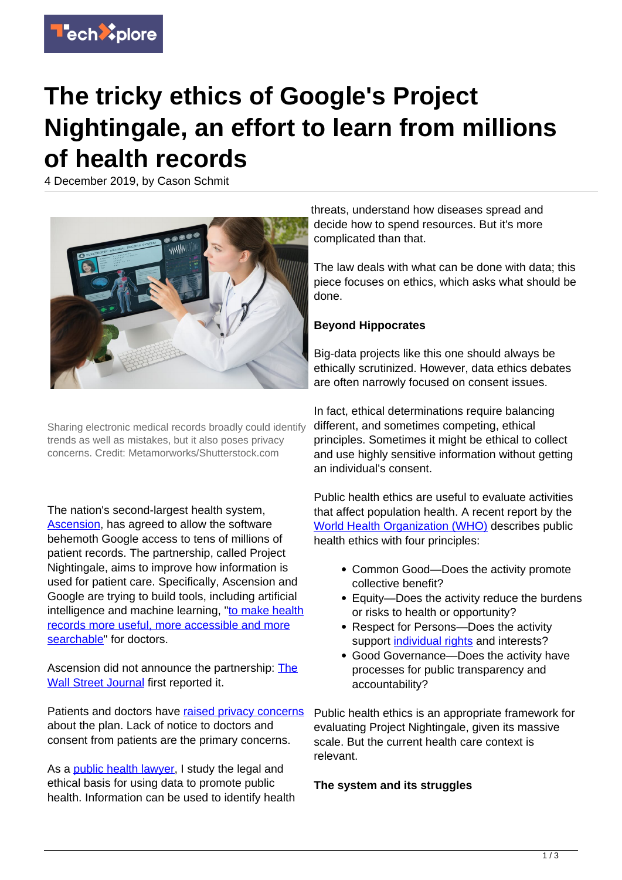

# **The tricky ethics of Google's Project Nightingale, an effort to learn from millions of health records**

4 December 2019, by Cason Schmit



Sharing electronic medical records broadly could identify trends as well as mistakes, but it also poses privacy concerns. Credit: Metamorworks/Shutterstock.com

The nation's second-largest health system, [Ascension](https://ascension.org/about), has agreed to allow the software behemoth Google access to tens of millions of patient records. The partnership, called Project Nightingale, aims to improve how information is used for patient care. Specifically, Ascension and Google are trying to build tools, including artificial intelligence and machine learning, "[to make health](https://www.blog.google/technology/health/google-health-provider-tools-launch/) [records more useful, more accessible and more](https://www.blog.google/technology/health/google-health-provider-tools-launch/) [searchable](https://www.blog.google/technology/health/google-health-provider-tools-launch/)" for doctors.

Ascension did not announce the partnership: [The](https://www.wsj.com/articles/google-s-secret-project-nightingale-gathers-personal-health-data-on-millions-of-americans-11573496790) [Wall Street Journal](https://www.wsj.com/articles/google-s-secret-project-nightingale-gathers-personal-health-data-on-millions-of-americans-11573496790) first reported it.

Patients and doctors have [raised privacy concerns](https://khn.org/morning-breakout/fallout-from-googles-project-nightingale-revelation-a-federal-inquiry-lawmakers-criticism-and-patient-privacy-fears/) about the plan. Lack of notice to doctors and consent from patients are the primary concerns.

As a **public health lawyer**, I study the legal and ethical basis for using data to promote public health. Information can be used to identify health threats, understand how diseases spread and decide how to spend resources. But it's more complicated than that.

The law deals with what can be done with data; this piece focuses on ethics, which asks what should be done.

## **Beyond Hippocrates**

Big-data projects like this one should always be ethically scrutinized. However, data ethics debates are often narrowly focused on consent issues.

In fact, ethical determinations require balancing different, and sometimes competing, ethical principles. Sometimes it might be ethical to collect and use highly sensitive information without getting an individual's consent.

Public health ethics are useful to evaluate activities that affect population health. A recent report by the [World Health Organization \(WHO\)](https://www.who.int/ethics/publications/public-health-surveillance/en/) describes public health ethics with four principles:

- Common Good-Does the activity promote collective benefit?
- Equity—Does the activity reduce the burdens or risks to health or opportunity?
- Respect for Persons-Does the activity support [individual rights](https://techxplore.com/tags/individual+rights/) and interests?
- Good Governance—Does the activity have processes for public transparency and accountability?

Public health ethics is an appropriate framework for evaluating Project Nightingale, given its massive scale. But the current health care context is relevant.

#### **The system and its struggles**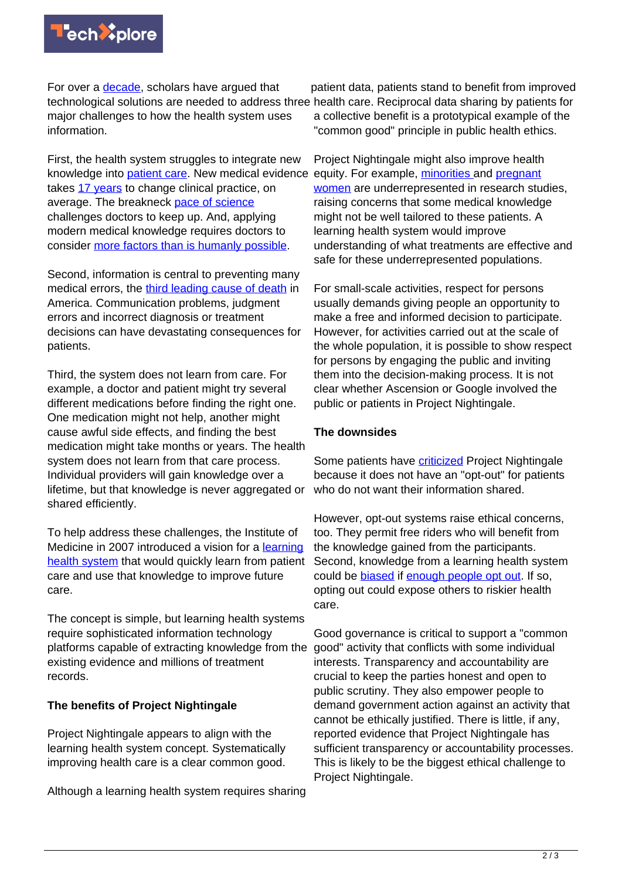

For over a [decade,](https://doi.org/10.1377/hlthaff.26.2.w107) scholars have arqued that major challenges to how the health system uses information.

First, the health system struggles to integrate new knowledge into [patient care](https://techxplore.com/tags/patient+care/). New medical evidence takes [17 years](http://www.ihi.org/resources/Pages/Publications/Managingclinicalknowledgeforhealthcareimprovement.aspx) to change clinical practice, on average. The breakneck [pace of science](https://doi.org/10.1377/hlthaff.26.2.w107) challenges doctors to keep up. And, applying modern medical knowledge requires doctors to consider [more factors than is humanly possible.](https://doi.org/10.1200/JCO.2010.28.5478)

Second, information is central to preventing many medical errors, the [third leading cause of death](https://doi.org/10.1136/bmj.i2139) in America. Communication problems, judgment errors and incorrect diagnosis or treatment decisions can have devastating consequences for patients.

Third, the system does not learn from care. For example, a doctor and patient might try several different medications before finding the right one. One medication might not help, another might cause awful side effects, and finding the best medication might take months or years. The health system does not learn from that care process. Individual providers will gain knowledge over a lifetime, but that knowledge is never aggregated or shared efficiently.

To help address these challenges, the Institute of Medicine in 2007 introduced a vision for a [learning](http://www.nationalacademies.org/hmd/reports/2007/the-learning-healthcare-system-workshop-summary.aspx) [health system](http://www.nationalacademies.org/hmd/reports/2007/the-learning-healthcare-system-workshop-summary.aspx) that would quickly learn from patient care and use that knowledge to improve future care.

The concept is simple, but learning health systems require sophisticated information technology platforms capable of extracting knowledge from the existing evidence and millions of treatment records.

# **The benefits of Project Nightingale**

Project Nightingale appears to align with the learning health system concept. Systematically improving health care is a clear common good.

Although a learning health system requires sharing

technological solutions are needed to address three health care. Reciprocal data sharing by patients for patient data, patients stand to benefit from improved a collective benefit is a prototypical example of the "common good" principle in public health ethics.

> Project Nightingale might also improve health equity. For example, [minorities](https://www.aamc.org/news-insights/more-minorities-needed-clinical-trials-make-research-relevant-all) and [pregnant](https://doi.org/10.1186/s12978-017-0419-x) [women](https://doi.org/10.1186/s12978-017-0419-x) are underrepresented in research studies, raising concerns that some medical knowledge might not be well tailored to these patients. A learning health system would improve understanding of what treatments are effective and safe for these underrepresented populations.

> For small-scale activities, respect for persons usually demands giving people an opportunity to make a free and informed decision to participate. However, for activities carried out at the scale of the whole population, it is possible to show respect for persons by engaging the public and inviting them into the decision-making process. It is not clear whether Ascension or Google involved the public or patients in Project Nightingale.

## **The downsides**

Some patients have **criticized** Project Nightingale because it does not have an "opt-out" for patients who do not want their information shared.

However, opt-out systems raise ethical concerns, too. They permit free riders who will benefit from the knowledge gained from the participants. Second, knowledge from a learning health system could be **biased** if [enough people opt out.](https://academic.oup.com/jssam/article-abstract/4/3/382/2399768?redirectedFrom=fulltext) If so, opting out could expose others to riskier health care.

Good governance is critical to support a "common good" activity that conflicts with some individual interests. Transparency and accountability are crucial to keep the parties honest and open to public scrutiny. They also empower people to demand government action against an activity that cannot be ethically justified. There is little, if any, reported evidence that Project Nightingale has sufficient transparency or accountability processes. This is likely to be the biggest ethical challenge to Project Nightingale.